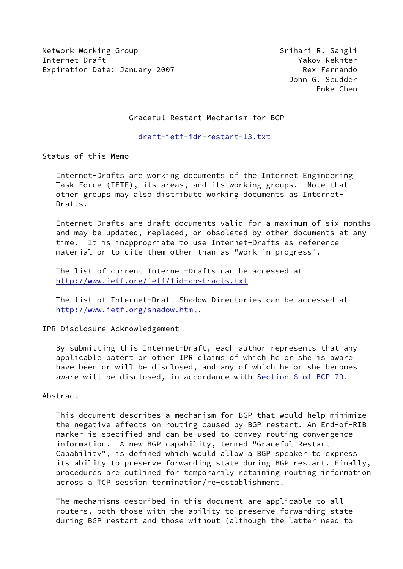Network Working Group Srihari R. Sangli Internet Draft Yakov Rekhter Expiration Date: January 2007 Mex Fernando

 John G. Scudder Enke Chen

Graceful Restart Mechanism for BGP

[draft-ietf-idr-restart-13.txt](https://datatracker.ietf.org/doc/pdf/draft-ietf-idr-restart-13.txt)

Status of this Memo

 Internet-Drafts are working documents of the Internet Engineering Task Force (IETF), its areas, and its working groups. Note that other groups may also distribute working documents as Internet- Drafts.

 Internet-Drafts are draft documents valid for a maximum of six months and may be updated, replaced, or obsoleted by other documents at any time. It is inappropriate to use Internet-Drafts as reference material or to cite them other than as "work in progress".

 The list of current Internet-Drafts can be accessed at <http://www.ietf.org/ietf/1id-abstracts.txt>

 The list of Internet-Draft Shadow Directories can be accessed at <http://www.ietf.org/shadow.html>.

IPR Disclosure Acknowledgement

 By submitting this Internet-Draft, each author represents that any applicable patent or other IPR claims of which he or she is aware have been or will be disclosed, and any of which he or she becomes aware will be disclosed, in accordance with Section [6 of BCP 79.](https://datatracker.ietf.org/doc/pdf/bcp79#section-6)

### Abstract

 This document describes a mechanism for BGP that would help minimize the negative effects on routing caused by BGP restart. An End-of-RIB marker is specified and can be used to convey routing convergence information. A new BGP capability, termed "Graceful Restart Capability", is defined which would allow a BGP speaker to express its ability to preserve forwarding state during BGP restart. Finally, procedures are outlined for temporarily retaining routing information across a TCP session termination/re-establishment.

 The mechanisms described in this document are applicable to all routers, both those with the ability to preserve forwarding state during BGP restart and those without (although the latter need to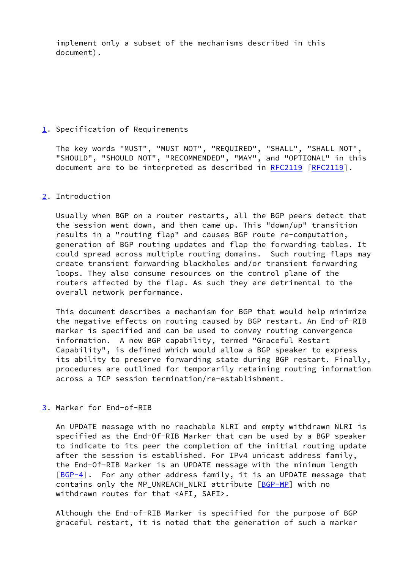implement only a subset of the mechanisms described in this document).

# <span id="page-1-0"></span>[1](#page-1-0). Specification of Requirements

 The key words "MUST", "MUST NOT", "REQUIRED", "SHALL", "SHALL NOT", "SHOULD", "SHOULD NOT", "RECOMMENDED", "MAY", and "OPTIONAL" in this document are to be interpreted as described in [RFC2119](https://datatracker.ietf.org/doc/pdf/rfc2119) [\[RFC2119](https://datatracker.ietf.org/doc/pdf/rfc2119)].

# <span id="page-1-1"></span>[2](#page-1-1). Introduction

 Usually when BGP on a router restarts, all the BGP peers detect that the session went down, and then came up. This "down/up" transition results in a "routing flap" and causes BGP route re-computation, generation of BGP routing updates and flap the forwarding tables. It could spread across multiple routing domains. Such routing flaps may create transient forwarding blackholes and/or transient forwarding loops. They also consume resources on the control plane of the routers affected by the flap. As such they are detrimental to the overall network performance.

 This document describes a mechanism for BGP that would help minimize the negative effects on routing caused by BGP restart. An End-of-RIB marker is specified and can be used to convey routing convergence information. A new BGP capability, termed "Graceful Restart Capability", is defined which would allow a BGP speaker to express its ability to preserve forwarding state during BGP restart. Finally, procedures are outlined for temporarily retaining routing information across a TCP session termination/re-establishment.

# <span id="page-1-2"></span>[3](#page-1-2). Marker for End-of-RIB

 An UPDATE message with no reachable NLRI and empty withdrawn NLRI is specified as the End-Of-RIB Marker that can be used by a BGP speaker to indicate to its peer the completion of the initial routing update after the session is established. For IPv4 unicast address family, the End-Of-RIB Marker is an UPDATE message with the minimum length  $[BGP-4]$  $[BGP-4]$ . For any other address family, it is an UPDATE message that contains only the MP\_UNREACH\_NLRI attribute [\[BGP-MP](#page-12-1)] with no withdrawn routes for that <AFI, SAFI>.

 Although the End-of-RIB Marker is specified for the purpose of BGP graceful restart, it is noted that the generation of such a marker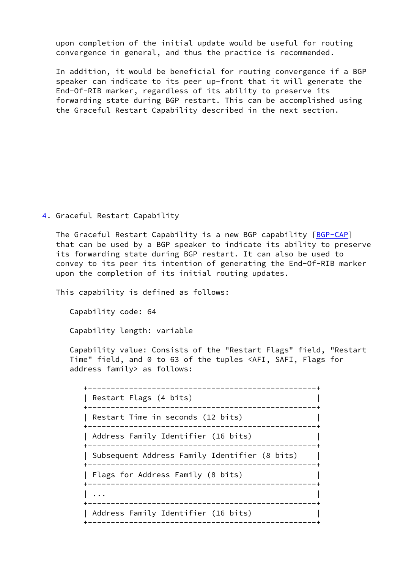upon completion of the initial update would be useful for routing convergence in general, and thus the practice is recommended.

 In addition, it would be beneficial for routing convergence if a BGP speaker can indicate to its peer up-front that it will generate the End-Of-RIB marker, regardless of its ability to preserve its forwarding state during BGP restart. This can be accomplished using the Graceful Restart Capability described in the next section.

<span id="page-2-0"></span>[4](#page-2-0). Graceful Restart Capability

The Graceful Restart Capability is a new BGP capability [\[BGP-CAP](#page-12-2)] that can be used by a BGP speaker to indicate its ability to preserve its forwarding state during BGP restart. It can also be used to convey to its peer its intention of generating the End-Of-RIB marker upon the completion of its initial routing updates.

This capability is defined as follows:

Capability code: 64

Capability length: variable

 Capability value: Consists of the "Restart Flags" field, "Restart Time" field, and 0 to 63 of the tuples <AFI, SAFI, Flags for address family> as follows:

 +--------------------------------------------------+ | Restart Flags (4 bits) | +--------------------------------------------------+ | Restart Time in seconds (12 bits) | +--------------------------------------------------+ | Address Family Identifier (16 bits) | +--------------------------------------------------+ | Subsequent Address Family Identifier (8 bits) | +--------------------------------------------------+ | Flags for Address Family (8 bits) | +--------------------------------------------------+ | ... | ... | ... | ... | ... | ... | ... | ... | ... | ... | ... | ... | ... | ... | ... | ... | ... | ... | +--------------------------------------------------+ | Address Family Identifier (16 bits) | +--------------------------------------------------+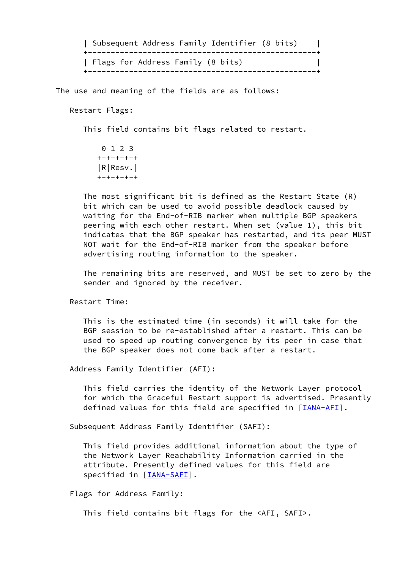| Subsequent Address Family Identifier (8 bits) | +--------------------------------------------------+ | Flags for Address Family (8 bits) | +--------------------------------------------------+

The use and meaning of the fields are as follows:

Restart Flags:

This field contains bit flags related to restart.

 0 1 2 3 +-+-+-+-+ |R|Resv.| +-+-+-+-+

 The most significant bit is defined as the Restart State (R) bit which can be used to avoid possible deadlock caused by waiting for the End-of-RIB marker when multiple BGP speakers peering with each other restart. When set (value 1), this bit indicates that the BGP speaker has restarted, and its peer MUST NOT wait for the End-of-RIB marker from the speaker before advertising routing information to the speaker.

 The remaining bits are reserved, and MUST be set to zero by the sender and ignored by the receiver.

Restart Time:

 This is the estimated time (in seconds) it will take for the BGP session to be re-established after a restart. This can be used to speed up routing convergence by its peer in case that the BGP speaker does not come back after a restart.

Address Family Identifier (AFI):

 This field carries the identity of the Network Layer protocol for which the Graceful Restart support is advertised. Presently defined values for this field are specified in [*IANA-AFI*].

Subsequent Address Family Identifier (SAFI):

 This field provides additional information about the type of the Network Layer Reachability Information carried in the attribute. Presently defined values for this field are specified in [[IANA-SAFI\]](#page-12-4).

Flags for Address Family:

This field contains bit flags for the <AFI, SAFI>.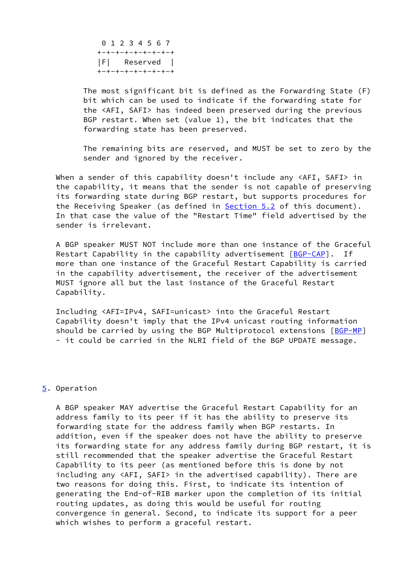0 1 2 3 4 5 6 7 +-+-+-+-+-+-+-+-+ |F| Reserved | +-+-+-+-+-+-+-+-+

 The most significant bit is defined as the Forwarding State (F) bit which can be used to indicate if the forwarding state for the <AFI, SAFI> has indeed been preserved during the previous BGP restart. When set (value 1), the bit indicates that the forwarding state has been preserved.

 The remaining bits are reserved, and MUST be set to zero by the sender and ignored by the receiver.

 When a sender of this capability doesn't include any <AFI, SAFI> in the capability, it means that the sender is not capable of preserving its forwarding state during BGP restart, but supports procedures for the Receiving Speaker (as defined in [Section 5.2](#page-6-0) of this document). In that case the value of the "Restart Time" field advertised by the sender is irrelevant.

 A BGP speaker MUST NOT include more than one instance of the Graceful Restart Capability in the capability advertisement [[BGP-CAP\]](#page-12-2). If more than one instance of the Graceful Restart Capability is carried in the capability advertisement, the receiver of the advertisement MUST ignore all but the last instance of the Graceful Restart Capability.

 Including <AFI=IPv4, SAFI=unicast> into the Graceful Restart Capability doesn't imply that the IPv4 unicast routing information should be carried by using the BGP Multiprotocol extensions [\[BGP-MP](#page-12-1)] - it could be carried in the NLRI field of the BGP UPDATE message.

### <span id="page-4-0"></span>[5](#page-4-0). Operation

 A BGP speaker MAY advertise the Graceful Restart Capability for an address family to its peer if it has the ability to preserve its forwarding state for the address family when BGP restarts. In addition, even if the speaker does not have the ability to preserve its forwarding state for any address family during BGP restart, it is still recommended that the speaker advertise the Graceful Restart Capability to its peer (as mentioned before this is done by not including any <AFI, SAFI> in the advertised capability). There are two reasons for doing this. First, to indicate its intention of generating the End-of-RIB marker upon the completion of its initial routing updates, as doing this would be useful for routing convergence in general. Second, to indicate its support for a peer which wishes to perform a graceful restart.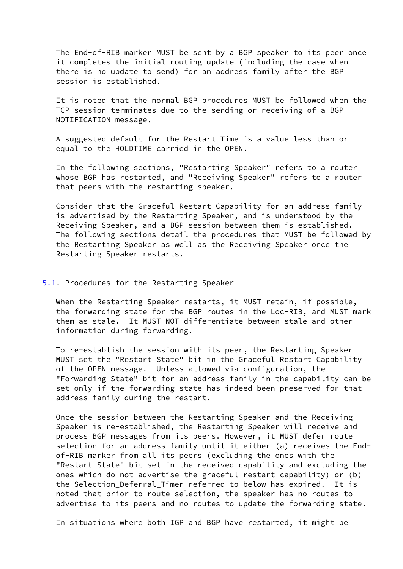The End-of-RIB marker MUST be sent by a BGP speaker to its peer once it completes the initial routing update (including the case when there is no update to send) for an address family after the BGP session is established.

 It is noted that the normal BGP procedures MUST be followed when the TCP session terminates due to the sending or receiving of a BGP NOTIFICATION message.

 A suggested default for the Restart Time is a value less than or equal to the HOLDTIME carried in the OPEN.

 In the following sections, "Restarting Speaker" refers to a router whose BGP has restarted, and "Receiving Speaker" refers to a router that peers with the restarting speaker.

 Consider that the Graceful Restart Capability for an address family is advertised by the Restarting Speaker, and is understood by the Receiving Speaker, and a BGP session between them is established. The following sections detail the procedures that MUST be followed by the Restarting Speaker as well as the Receiving Speaker once the Restarting Speaker restarts.

### <span id="page-5-0"></span>[5.1](#page-5-0). Procedures for the Restarting Speaker

 When the Restarting Speaker restarts, it MUST retain, if possible, the forwarding state for the BGP routes in the Loc-RIB, and MUST mark them as stale. It MUST NOT differentiate between stale and other information during forwarding.

 To re-establish the session with its peer, the Restarting Speaker MUST set the "Restart State" bit in the Graceful Restart Capability of the OPEN message. Unless allowed via configuration, the "Forwarding State" bit for an address family in the capability can be set only if the forwarding state has indeed been preserved for that address family during the restart.

 Once the session between the Restarting Speaker and the Receiving Speaker is re-established, the Restarting Speaker will receive and process BGP messages from its peers. However, it MUST defer route selection for an address family until it either (a) receives the End of-RIB marker from all its peers (excluding the ones with the "Restart State" bit set in the received capability and excluding the ones which do not advertise the graceful restart capability) or (b) the Selection\_Deferral\_Timer referred to below has expired. It is noted that prior to route selection, the speaker has no routes to advertise to its peers and no routes to update the forwarding state.

In situations where both IGP and BGP have restarted, it might be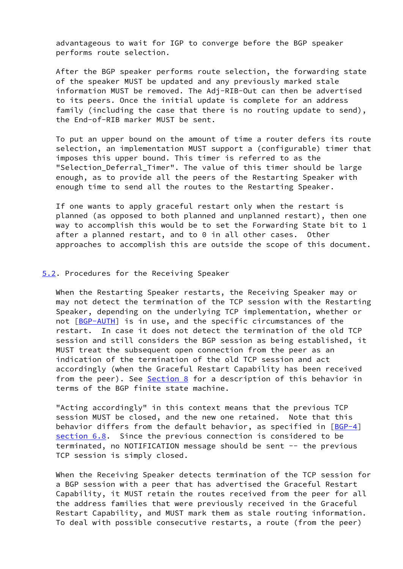advantageous to wait for IGP to converge before the BGP speaker performs route selection.

 After the BGP speaker performs route selection, the forwarding state of the speaker MUST be updated and any previously marked stale information MUST be removed. The Adj-RIB-Out can then be advertised to its peers. Once the initial update is complete for an address family (including the case that there is no routing update to send), the End-of-RIB marker MUST be sent.

 To put an upper bound on the amount of time a router defers its route selection, an implementation MUST support a (configurable) timer that imposes this upper bound. This timer is referred to as the "Selection\_Deferral\_Timer". The value of this timer should be large enough, as to provide all the peers of the Restarting Speaker with enough time to send all the routes to the Restarting Speaker.

 If one wants to apply graceful restart only when the restart is planned (as opposed to both planned and unplanned restart), then one way to accomplish this would be to set the Forwarding State bit to 1 after a planned restart, and to 0 in all other cases. Other approaches to accomplish this are outside the scope of this document.

# <span id="page-6-0"></span>[5.2](#page-6-0). Procedures for the Receiving Speaker

 When the Restarting Speaker restarts, the Receiving Speaker may or may not detect the termination of the TCP session with the Restarting Speaker, depending on the underlying TCP implementation, whether or not [\[BGP-AUTH](#page-12-5)] is in use, and the specific circumstances of the restart. In case it does not detect the termination of the old TCP session and still considers the BGP session as being established, it MUST treat the subsequent open connection from the peer as an indication of the termination of the old TCP session and act accordingly (when the Graceful Restart Capability has been received from the peer). See [Section 8](#page-10-0) for a description of this behavior in terms of the BGP finite state machine.

 "Acting accordingly" in this context means that the previous TCP session MUST be closed, and the new one retained. Note that this behavior differs from the default behavior, as specified in  $[BGP-4]$  $[BGP-4]$  section 6.8. Since the previous connection is considered to be terminated, no NOTIFICATION message should be sent -- the previous TCP session is simply closed.

 When the Receiving Speaker detects termination of the TCP session for a BGP session with a peer that has advertised the Graceful Restart Capability, it MUST retain the routes received from the peer for all the address families that were previously received in the Graceful Restart Capability, and MUST mark them as stale routing information. To deal with possible consecutive restarts, a route (from the peer)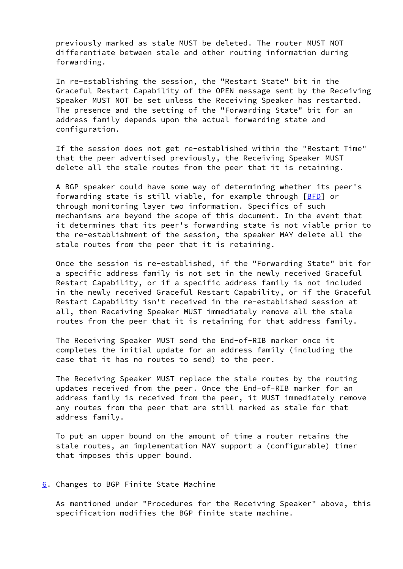previously marked as stale MUST be deleted. The router MUST NOT differentiate between stale and other routing information during forwarding.

 In re-establishing the session, the "Restart State" bit in the Graceful Restart Capability of the OPEN message sent by the Receiving Speaker MUST NOT be set unless the Receiving Speaker has restarted. The presence and the setting of the "Forwarding State" bit for an address family depends upon the actual forwarding state and configuration.

 If the session does not get re-established within the "Restart Time" that the peer advertised previously, the Receiving Speaker MUST delete all the stale routes from the peer that it is retaining.

 A BGP speaker could have some way of determining whether its peer's forwarding state is still viable, for example through [[BFD](#page-12-6)] or through monitoring layer two information. Specifics of such mechanisms are beyond the scope of this document. In the event that it determines that its peer's forwarding state is not viable prior to the re-establishment of the session, the speaker MAY delete all the stale routes from the peer that it is retaining.

 Once the session is re-established, if the "Forwarding State" bit for a specific address family is not set in the newly received Graceful Restart Capability, or if a specific address family is not included in the newly received Graceful Restart Capability, or if the Graceful Restart Capability isn't received in the re-established session at all, then Receiving Speaker MUST immediately remove all the stale routes from the peer that it is retaining for that address family.

 The Receiving Speaker MUST send the End-of-RIB marker once it completes the initial update for an address family (including the case that it has no routes to send) to the peer.

 The Receiving Speaker MUST replace the stale routes by the routing updates received from the peer. Once the End-of-RIB marker for an address family is received from the peer, it MUST immediately remove any routes from the peer that are still marked as stale for that address family.

 To put an upper bound on the amount of time a router retains the stale routes, an implementation MAY support a (configurable) timer that imposes this upper bound.

### <span id="page-7-0"></span>[6](#page-7-0). Changes to BGP Finite State Machine

 As mentioned under "Procedures for the Receiving Speaker" above, this specification modifies the BGP finite state machine.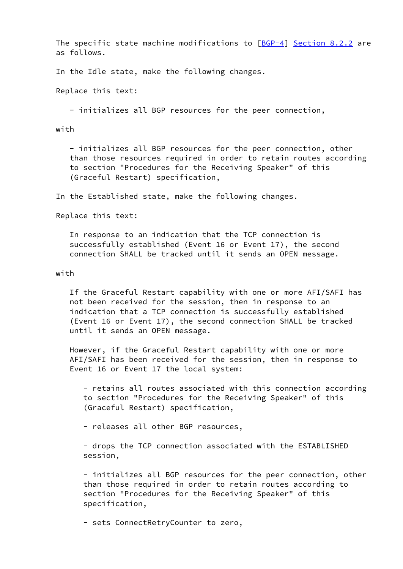The specific state machine modifications to  $[BGP-4]$  $[BGP-4]$  Section 8.2.2 are as follows.

In the Idle state, make the following changes.

Replace this text:

- initializes all BGP resources for the peer connection,

with

 - initializes all BGP resources for the peer connection, other than those resources required in order to retain routes according to section "Procedures for the Receiving Speaker" of this (Graceful Restart) specification,

In the Established state, make the following changes.

Replace this text:

 In response to an indication that the TCP connection is successfully established (Event 16 or Event 17), the second connection SHALL be tracked until it sends an OPEN message.

with

 If the Graceful Restart capability with one or more AFI/SAFI has not been received for the session, then in response to an indication that a TCP connection is successfully established (Event 16 or Event 17), the second connection SHALL be tracked until it sends an OPEN message.

 However, if the Graceful Restart capability with one or more AFI/SAFI has been received for the session, then in response to Event 16 or Event 17 the local system:

 - retains all routes associated with this connection according to section "Procedures for the Receiving Speaker" of this (Graceful Restart) specification,

- releases all other BGP resources,

 - drops the TCP connection associated with the ESTABLISHED session,

 - initializes all BGP resources for the peer connection, other than those required in order to retain routes according to section "Procedures for the Receiving Speaker" of this specification,

- sets ConnectRetryCounter to zero,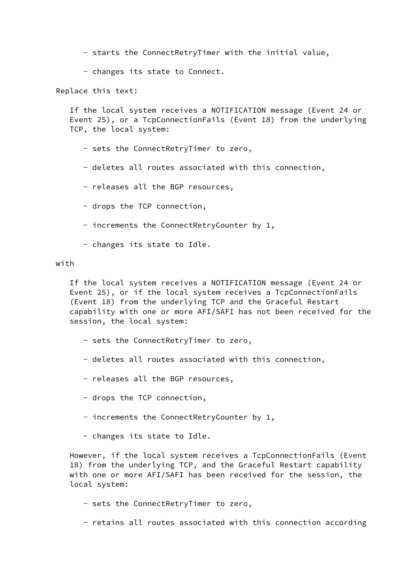- starts the ConnectRetryTimer with the initial value,
- changes its state to Connect.

Replace this text:

 If the local system receives a NOTIFICATION message (Event 24 or Event 25), or a TcpConnectionFails (Event 18) from the underlying TCP, the local system:

- sets the ConnectRetryTimer to zero,
- deletes all routes associated with this connection,
- releases all the BGP resources,
- drops the TCP connection,
- increments the ConnectRetryCounter by 1,
- changes its state to Idle.

### with

 If the local system receives a NOTIFICATION message (Event 24 or Event 25), or if the local system receives a TcpConnectionFails (Event 18) from the underlying TCP and the Graceful Restart capability with one or more AFI/SAFI has not been received for the session, the local system:

- sets the ConnectRetryTimer to zero,
- deletes all routes associated with this connection,
- releases all the BGP resources,
- drops the TCP connection,
- increments the ConnectRetryCounter by 1,
- changes its state to Idle.

 However, if the local system receives a TcpConnectionFails (Event 18) from the underlying TCP, and the Graceful Restart capability with one or more AFI/SAFI has been received for the session, the local system:

- sets the ConnectRetryTimer to zero,
- retains all routes associated with this connection according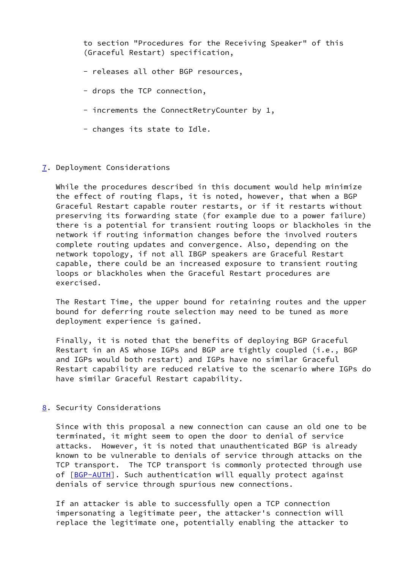to section "Procedures for the Receiving Speaker" of this (Graceful Restart) specification,

- releases all other BGP resources,
- drops the TCP connection,
- increments the ConnectRetryCounter by 1,
- changes its state to Idle.

## <span id="page-10-1"></span>[7](#page-10-1). Deployment Considerations

While the procedures described in this document would help minimize the effect of routing flaps, it is noted, however, that when a BGP Graceful Restart capable router restarts, or if it restarts without preserving its forwarding state (for example due to a power failure) there is a potential for transient routing loops or blackholes in the network if routing information changes before the involved routers complete routing updates and convergence. Also, depending on the network topology, if not all IBGP speakers are Graceful Restart capable, there could be an increased exposure to transient routing loops or blackholes when the Graceful Restart procedures are exercised.

 The Restart Time, the upper bound for retaining routes and the upper bound for deferring route selection may need to be tuned as more deployment experience is gained.

 Finally, it is noted that the benefits of deploying BGP Graceful Restart in an AS whose IGPs and BGP are tightly coupled (i.e., BGP and IGPs would both restart) and IGPs have no similar Graceful Restart capability are reduced relative to the scenario where IGPs do have similar Graceful Restart capability.

# <span id="page-10-0"></span>[8](#page-10-0). Security Considerations

 Since with this proposal a new connection can cause an old one to be terminated, it might seem to open the door to denial of service attacks. However, it is noted that unauthenticated BGP is already known to be vulnerable to denials of service through attacks on the TCP transport. The TCP transport is commonly protected through use of [[BGP-AUTH\]](#page-12-5). Such authentication will equally protect against denials of service through spurious new connections.

 If an attacker is able to successfully open a TCP connection impersonating a legitimate peer, the attacker's connection will replace the legitimate one, potentially enabling the attacker to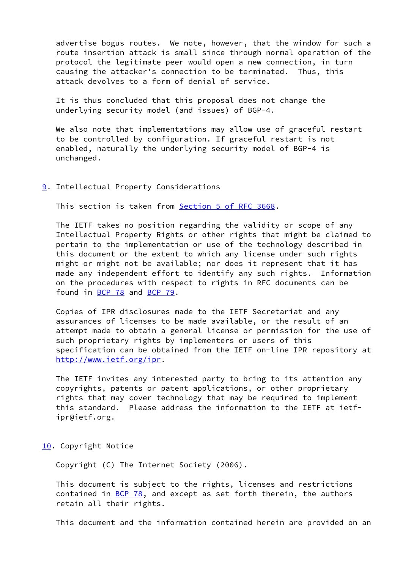advertise bogus routes. We note, however, that the window for such a route insertion attack is small since through normal operation of the protocol the legitimate peer would open a new connection, in turn causing the attacker's connection to be terminated. Thus, this attack devolves to a form of denial of service.

 It is thus concluded that this proposal does not change the underlying security model (and issues) of BGP-4.

We also note that implementations may allow use of graceful restart to be controlled by configuration. If graceful restart is not enabled, naturally the underlying security model of BGP-4 is unchanged.

## <span id="page-11-0"></span>[9](#page-11-0). Intellectual Property Considerations

This section is taken from Section [5 of RFC 3668.](https://datatracker.ietf.org/doc/pdf/rfc3668#section-5)

 The IETF takes no position regarding the validity or scope of any Intellectual Property Rights or other rights that might be claimed to pertain to the implementation or use of the technology described in this document or the extent to which any license under such rights might or might not be available; nor does it represent that it has made any independent effort to identify any such rights. Information on the procedures with respect to rights in RFC documents can be found in [BCP 78](https://datatracker.ietf.org/doc/pdf/bcp78) and [BCP 79](https://datatracker.ietf.org/doc/pdf/bcp79).

 Copies of IPR disclosures made to the IETF Secretariat and any assurances of licenses to be made available, or the result of an attempt made to obtain a general license or permission for the use of such proprietary rights by implementers or users of this specification can be obtained from the IETF on-line IPR repository at <http://www.ietf.org/ipr>.

 The IETF invites any interested party to bring to its attention any copyrights, patents or patent applications, or other proprietary rights that may cover technology that may be required to implement this standard. Please address the information to the IETF at ietf ipr@ietf.org.

#### <span id="page-11-1"></span>[10.](#page-11-1) Copyright Notice

Copyright (C) The Internet Society (2006).

 This document is subject to the rights, licenses and restrictions contained in  $BCP$  78, and except as set forth therein, the authors retain all their rights.

This document and the information contained herein are provided on an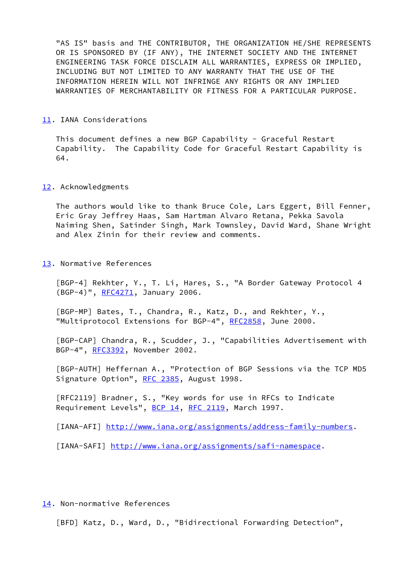"AS IS" basis and THE CONTRIBUTOR, THE ORGANIZATION HE/SHE REPRESENTS OR IS SPONSORED BY (IF ANY), THE INTERNET SOCIETY AND THE INTERNET ENGINEERING TASK FORCE DISCLAIM ALL WARRANTIES, EXPRESS OR IMPLIED, INCLUDING BUT NOT LIMITED TO ANY WARRANTY THAT THE USE OF THE INFORMATION HEREIN WILL NOT INFRINGE ANY RIGHTS OR ANY IMPLIED WARRANTIES OF MERCHANTABILITY OR FITNESS FOR A PARTICULAR PURPOSE.

#### <span id="page-12-7"></span>[11.](#page-12-7) IANA Considerations

This document defines a new BGP Capability - Graceful Restart Capability. The Capability Code for Graceful Restart Capability is 64.

#### <span id="page-12-8"></span>[12.](#page-12-8) Acknowledgments

 The authors would like to thank Bruce Cole, Lars Eggert, Bill Fenner, Eric Gray Jeffrey Haas, Sam Hartman Alvaro Retana, Pekka Savola Naiming Shen, Satinder Singh, Mark Townsley, David Ward, Shane Wright and Alex Zinin for their review and comments.

<span id="page-12-9"></span>[13.](#page-12-9) Normative References

<span id="page-12-0"></span> [BGP-4] Rekhter, Y., T. Li, Hares, S., "A Border Gateway Protocol 4 (BGP-4)", [RFC4271](https://datatracker.ietf.org/doc/pdf/rfc4271), January 2006.

<span id="page-12-1"></span> [BGP-MP] Bates, T., Chandra, R., Katz, D., and Rekhter, Y., "Multiprotocol Extensions for BGP-4", [RFC2858](https://datatracker.ietf.org/doc/pdf/rfc2858), June 2000.

<span id="page-12-2"></span> [BGP-CAP] Chandra, R., Scudder, J., "Capabilities Advertisement with BGP-4", [RFC3392](https://datatracker.ietf.org/doc/pdf/rfc3392), November 2002.

<span id="page-12-5"></span> [BGP-AUTH] Heffernan A., "Protection of BGP Sessions via the TCP MD5 Signature Option", [RFC 2385,](https://datatracker.ietf.org/doc/pdf/rfc2385) August 1998.

 [RFC2119] Bradner, S., "Key words for use in RFCs to Indicate Requirement Levels", [BCP 14](https://datatracker.ietf.org/doc/pdf/bcp14), [RFC 2119](https://datatracker.ietf.org/doc/pdf/rfc2119), March 1997.

<span id="page-12-3"></span>[IANA-AFI] <http://www.iana.org/assignments/address-family-numbers>.

<span id="page-12-4"></span>[IANA-SAFI] <http://www.iana.org/assignments/safi-namespace>.

### <span id="page-12-10"></span>[14.](#page-12-10) Non-normative References

<span id="page-12-6"></span>[BFD] Katz, D., Ward, D., "Bidirectional Forwarding Detection",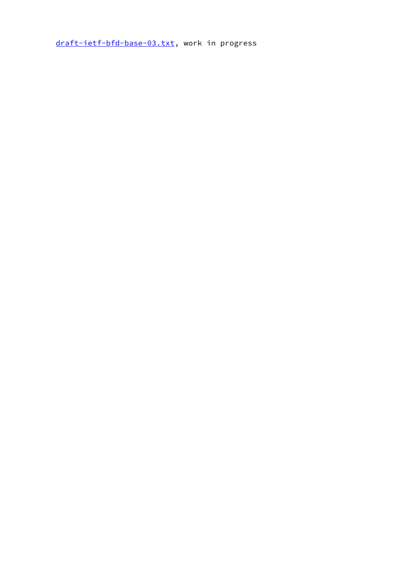[draft-ietf-bfd-base-03.txt](https://datatracker.ietf.org/doc/pdf/draft-ietf-bfd-base-03.txt), work in progress